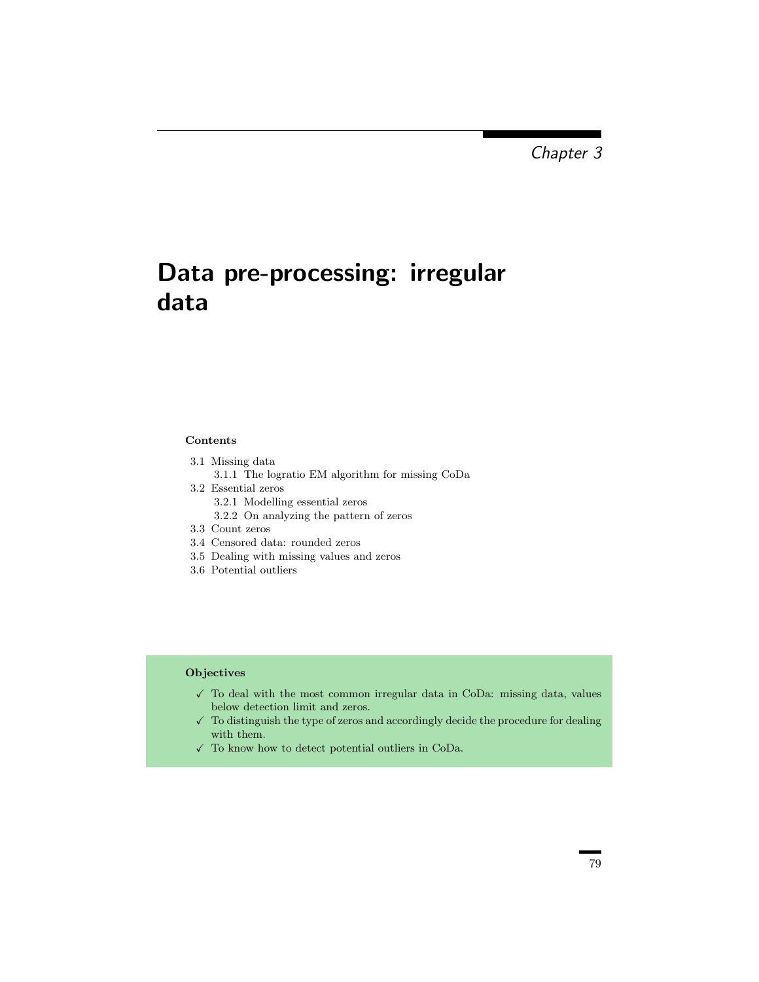## Data pre-processing: irregular data

## Contents

- 3.1 Missing data
	- 3.1.1 The logratio EM algorithm for missing CoDa
- 3.2 Essential zeros 3.2.1 Modelling essential zeros
	- 3.2.2 On analyzing the pattern of zeros
- 3.3 Count zeros
- 3.4 Censored data: rounded zeros
- 3.5 Dealing with missing values and zeros
- 3.6 Potential outliers

## **Objectives**

- $\checkmark$  To deal with the most common irregular data in CoDa: missing data, values below detection limit and zeros.
- $\checkmark$  To distinguish the type of zeros and accordingly decide the procedure for dealing with them.
- $\checkmark\;$  To know how to detect potential outliers in CoDa.